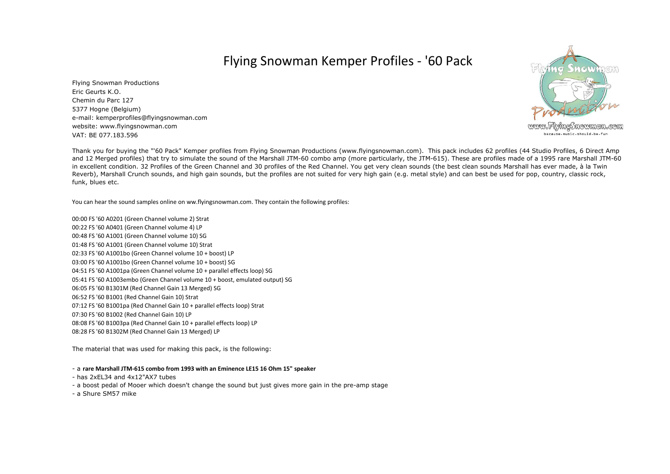## Flying Snowman Kemper Profiles - '60 Pack

5377 Hogne (Belgium) e-mail: kemperprofiles@flyingsnowman.comwebsite: www.flyingsnowman.comVAT: BE 077.183.596Flying Snowman ProductionsEric Geurts K.O.Chemin du Parc 127



www.FlyingSnowman.com because.music.should.be.fun

Thank you for buying the "'60 Pack" Kemper profiles from Flying Snowman Productions (www.flyingsnowman.com). This pack includes 62 profiles (44 Studio Profiles, 6 Direct Amp and 12 Merged profiles) that try to simulate the sound of the Marshall JTM-60 combo amp (more particularly, the JTM-615). These are profiles made of a 1995 rare Marshall JTM-60 in excellent condition. 32 Profiles of the Green Channel and 30 profiles of the Red Channel. You get very clean sounds (the best clean sounds Marshall has ever made, à la Twin Reverb), Marshall Crunch sounds, and high gain sounds, but the profiles are not suited for very high gain (e.g. metal style) and can best be used for pop, country, classic rock, funk, blues etc.

You can hear the sound samples online on ww.flyingsnowman.com. They contain the following profiles:

00:00 FS '60 A0201 (Green Channel volume 2) Strat00:22 FS '60 A0401 (Green Channel volume 4) LP 00:48 FS '60 A1001 (Green Channel volume 10) SG 01:48 FS '60 A1001 (Green Channel volume 10) Strat 02:33 FS '60 A1001bo (Green Channel volume 10 + boost) LP 03:00 FS '60 A1001bo (Green Channel volume 10 + boost) SG 04:51 FS '60 A1001pa (Green Channel volume 10 + parallel effects loop) SG 05:41 FS '60 A1003embo (Green Channel volume 10 + boost, emulated output) SG06:05 FS '60 B1301M (Red Channel Gain 13 Merged) SG06:52 FS '60 B1001 (Red Channel Gain 10) Strat 07:12 FS '60 B1001pa (Red Channel Gain 10 + parallel effects loop) Strat07:30 FS '60 B1002 (Red Channel Gain 10) LP 08:08 FS '60 B1003pa (Red Channel Gain 10 + parallel effects loop) LP08:28 FS '60 B1302M (Red Channel Gain 13 Merged) LP

The material that was used for making this pack, is the following:

- a **rare Marshall JTM-615 combo from 1993 with an Eminence LE15 16 Ohm 15" speaker**

- has 2xEL34 and 4x12"AX7 tubes

- a boost pedal of Mooer which doesn't change the sound but just gives more gain in the pre-amp stage

- a Shure SM57 mike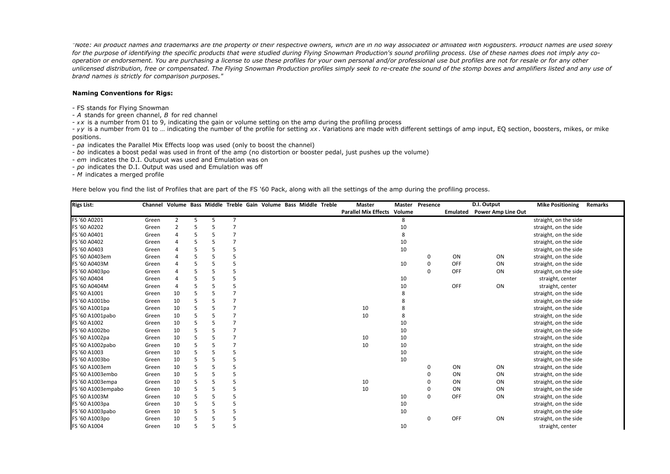*"Note: All product names and trademarks are the property of their respective owners, which are in no way associated or affiliated with Rigbusters. Product names are used solely* for the purpose of identifying the specific products that were studied during Flying Snowman Production's sound profiling process. Use of these names does not imply any co*operation or endorsement. You are purchasing a license to use these profiles for your own personal and/or professional use but profiles are not for resale or for any other unlicensed distribution, free or compensated. The Flying Snowman Production profiles simply seek to re-create the sound of the stomp boxes and amplifiers listed and any use of brand names is strictly for comparison purposes."*

## **Naming Conventions for Rigs:**

- FS stands for Flying Snowman
- *A* stands for green channel, *B* for red channel
- *x <sup>x</sup>* is a number from 01 to 9, indicating the gain or volume setting on the amp during the profiling process

- *y <sup>y</sup>* is a number from 01 to … indicating the number of the profile for setting *xx* . Variations are made with different settings of amp input, EQ section, boosters, mikes, or mike positions.

- *pa* indicates the Parallel Mix Effects loop was used (only to boost the channel)

- *bo* indicates a boost pedal was used in front of the amp (no distortion or booster pedal, just pushes up the volume)
- *em* indicates the D.I. Outuput was used and Emulation was on
- *po* indicates the D.I. Output was used and Emulation was off

- *M* indicates a merged profile

Here below you find the list of Profiles that are part of the FS '60 Pack, along with all the settings of the amp during the profiling process.

| <b>Rigs List:</b>  | Channel Volume Bass Middle Treble Gain Volume Bass Middle Treble |                |   |   |                |  |  | <b>Master</b>               | <b>Master</b> | Presence |          | D.I. Output               | <b>Mike Positioning</b> | Remarks |
|--------------------|------------------------------------------------------------------|----------------|---|---|----------------|--|--|-----------------------------|---------------|----------|----------|---------------------------|-------------------------|---------|
|                    |                                                                  |                |   |   |                |  |  | <b>Parallel Mix Effects</b> | Volume        |          | Emulated | <b>Power Amp Line Out</b> |                         |         |
| FS '60 A0201       | Green                                                            | $\overline{2}$ | 5 | 5 | 7              |  |  |                             | 8             |          |          |                           | straight, on the side   |         |
| FS '60 A0202       | Green                                                            | 2              |   |   | $\overline{ }$ |  |  |                             | 10            |          |          |                           | straight, on the side   |         |
| FS '60 A0401       | Green                                                            |                |   |   |                |  |  |                             |               |          |          |                           | straight, on the side   |         |
| FS '60 A0402       | Green                                                            |                |   |   |                |  |  |                             | 10            |          |          |                           | straight, on the side   |         |
| FS '60 A0403       | Green                                                            |                |   |   |                |  |  |                             | 10            |          |          |                           | straight, on the side   |         |
| FS '60 A0403em     | Green                                                            |                |   |   |                |  |  |                             |               | 0        | ON       | ON                        | straight, on the side   |         |
| FS '60 A0403M      | Green                                                            | 4              |   |   |                |  |  |                             | 10            | 0        | OFF      | ON                        | straight, on the side   |         |
| FS '60 A0403po     | Green                                                            |                |   |   |                |  |  |                             |               | 0        | OFF      | ON                        | straight, on the side   |         |
| FS '60 A0404       | Green                                                            | Δ              |   |   |                |  |  |                             | 10            |          |          |                           | straight, center        |         |
| FS '60 A0404M      | Green                                                            | $\overline{4}$ |   |   |                |  |  |                             | 10            |          | OFF      | ON                        | straight, center        |         |
| FS '60 A1001       | Green                                                            | 10             |   |   |                |  |  |                             |               |          |          |                           | straight, on the side   |         |
| FS '60 A1001bo     | Green                                                            | 10             |   |   | $\overline{ }$ |  |  |                             |               |          |          |                           | straight, on the side   |         |
| FS '60 A1001pa     | Green                                                            | 10             |   |   |                |  |  | 10                          | 8             |          |          |                           | straight, on the side   |         |
| FS '60 A1001pabo   | Green                                                            | 10             |   |   | $\overline{7}$ |  |  | 10                          | 8             |          |          |                           | straight, on the side   |         |
| FS '60 A1002       | Green                                                            | 10             |   |   | $\overline{ }$ |  |  |                             | 10            |          |          |                           | straight, on the side   |         |
| FS '60 A1002bo     | Green                                                            | 10             |   |   |                |  |  |                             | 10            |          |          |                           | straight, on the side   |         |
| FS '60 A1002pa     | Green                                                            | 10             |   |   | $\overline{7}$ |  |  | 10                          | 10            |          |          |                           | straight, on the side   |         |
| FS '60 A1002pabo   | Green                                                            | 10             |   |   |                |  |  | 10                          | 10            |          |          |                           | straight, on the side   |         |
| FS '60 A1003       | Green                                                            | 10             |   |   | 5              |  |  |                             | 10            |          |          |                           | straight, on the side   |         |
| FS '60 A1003bo     | Green                                                            | 10             |   |   |                |  |  |                             | 10            |          |          |                           | straight, on the side   |         |
| FS '60 A1003em     | Green                                                            | 10             |   |   | 5              |  |  |                             |               | 0        | ON       | ON                        | straight, on the side   |         |
| FS '60 A1003embo   | Green                                                            | 10             |   |   |                |  |  |                             |               | 0        | ON       | ON                        | straight, on the side   |         |
| FS '60 A1003empa   | Green                                                            | 10             |   |   |                |  |  | 10                          |               | 0        | ON       | ON                        | straight, on the side   |         |
| FS '60 A1003empabo | Green                                                            | 10             |   |   | 5              |  |  | 10                          |               | 0        | ON       | ON                        | straight, on the side   |         |
| FS '60 A1003M      | Green                                                            | 10             |   |   |                |  |  |                             | 10            | 0        | OFF      | ON                        | straight, on the side   |         |
| FS '60 A1003pa     | Green                                                            | 10             |   |   |                |  |  |                             | 10            |          |          |                           | straight, on the side   |         |
| FS '60 A1003pabo   | Green                                                            | 10             |   |   |                |  |  |                             | 10            |          |          |                           | straight, on the side   |         |
| FS '60 A1003po     | Green                                                            | 10             |   |   |                |  |  |                             |               | 0        | OFF      | ON                        | straight, on the side   |         |
| FS '60 A1004       | Green                                                            | 10             |   |   | 5              |  |  |                             | 10            |          |          |                           | straight, center        |         |